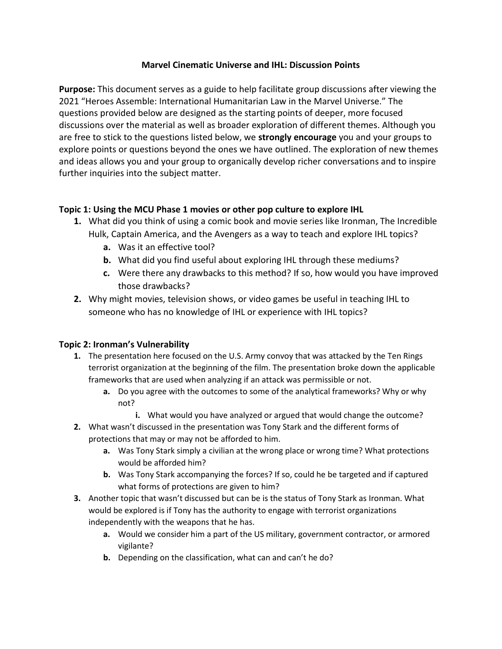### **Marvel Cinematic Universe and IHL: Discussion Points**

**Purpose:** This document serves as a guide to help facilitate group discussions after viewing the 2021 "Heroes Assemble: International Humanitarian Law in the Marvel Universe." The questions provided below are designed as the starting points of deeper, more focused discussions over the material as well as broader exploration of different themes. Although you are free to stick to the questions listed below, we **strongly encourage** you and your groups to explore points or questions beyond the ones we have outlined. The exploration of new themes and ideas allows you and your group to organically develop richer conversations and to inspire further inquiries into the subject matter.

# **Topic 1: Using the MCU Phase 1 movies or other pop culture to explore IHL**

- **1.** What did you think of using a comic book and movie series like Ironman, The Incredible Hulk, Captain America, and the Avengers as a way to teach and explore IHL topics?
	- **a.** Was it an effective tool?
	- **b.** What did you find useful about exploring IHL through these mediums?
	- **c.** Were there any drawbacks to this method? If so, how would you have improved those drawbacks?
- **2.** Why might movies, television shows, or video games be useful in teaching IHL to someone who has no knowledge of IHL or experience with IHL topics?

# **Topic 2: Ironman's Vulnerability**

- **1.** The presentation here focused on the U.S. Army convoy that was attacked by the Ten Rings terrorist organization at the beginning of the film. The presentation broke down the applicable frameworks that are used when analyzing if an attack was permissible or not.
	- **a.** Do you agree with the outcomes to some of the analytical frameworks? Why or why not?
		- **i.** What would you have analyzed or argued that would change the outcome?
- **2.** What wasn't discussed in the presentation was Tony Stark and the different forms of protections that may or may not be afforded to him.
	- **a.** Was Tony Stark simply a civilian at the wrong place or wrong time? What protections would be afforded him?
	- **b.** Was Tony Stark accompanying the forces? If so, could he be targeted and if captured what forms of protections are given to him?
- **3.** Another topic that wasn't discussed but can be is the status of Tony Stark as Ironman. What would be explored is if Tony has the authority to engage with terrorist organizations independently with the weapons that he has.
	- **a.** Would we consider him a part of the US military, government contractor, or armored vigilante?
	- **b.** Depending on the classification, what can and can't he do?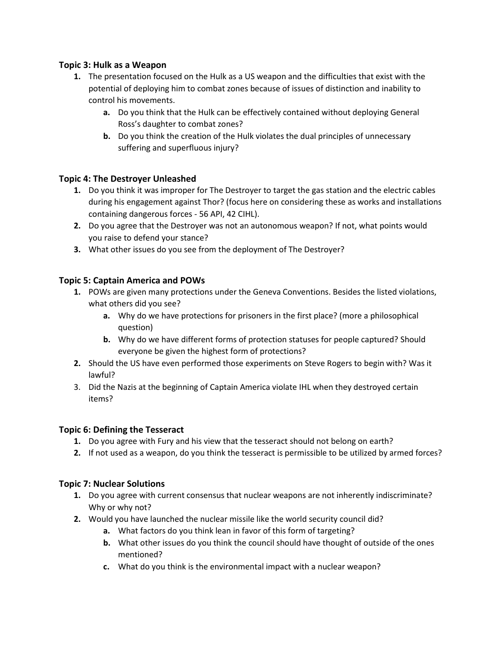### **Topic 3: Hulk as a Weapon**

- **1.** The presentation focused on the Hulk as a US weapon and the difficulties that exist with the potential of deploying him to combat zones because of issues of distinction and inability to control his movements.
	- **a.** Do you think that the Hulk can be effectively contained without deploying General Ross's daughter to combat zones?
	- **b.** Do you think the creation of the Hulk violates the dual principles of unnecessary suffering and superfluous injury?

### **Topic 4: The Destroyer Unleashed**

- **1.** Do you think it was improper for The Destroyer to target the gas station and the electric cables during his engagement against Thor? (focus here on considering these as works and installations containing dangerous forces - 56 API, 42 CIHL).
- **2.** Do you agree that the Destroyer was not an autonomous weapon? If not, what points would you raise to defend your stance?
- **3.** What other issues do you see from the deployment of The Destroyer?

# **Topic 5: Captain America and POWs**

- **1.** POWs are given many protections under the Geneva Conventions. Besides the listed violations, what others did you see?
	- **a.** Why do we have protections for prisoners in the first place? (more a philosophical question)
	- **b.** Why do we have different forms of protection statuses for people captured? Should everyone be given the highest form of protections?
- **2.** Should the US have even performed those experiments on Steve Rogers to begin with? Was it lawful?
- 3. Did the Nazis at the beginning of Captain America violate IHL when they destroyed certain items?

#### **Topic 6: Defining the Tesseract**

- **1.** Do you agree with Fury and his view that the tesseract should not belong on earth?
- **2.** If not used as a weapon, do you think the tesseract is permissible to be utilized by armed forces?

# **Topic 7: Nuclear Solutions**

- **1.** Do you agree with current consensus that nuclear weapons are not inherently indiscriminate? Why or why not?
- **2.** Would you have launched the nuclear missile like the world security council did?
	- **a.** What factors do you think lean in favor of this form of targeting?
	- **b.** What other issues do you think the council should have thought of outside of the ones mentioned?
	- **c.** What do you think is the environmental impact with a nuclear weapon?